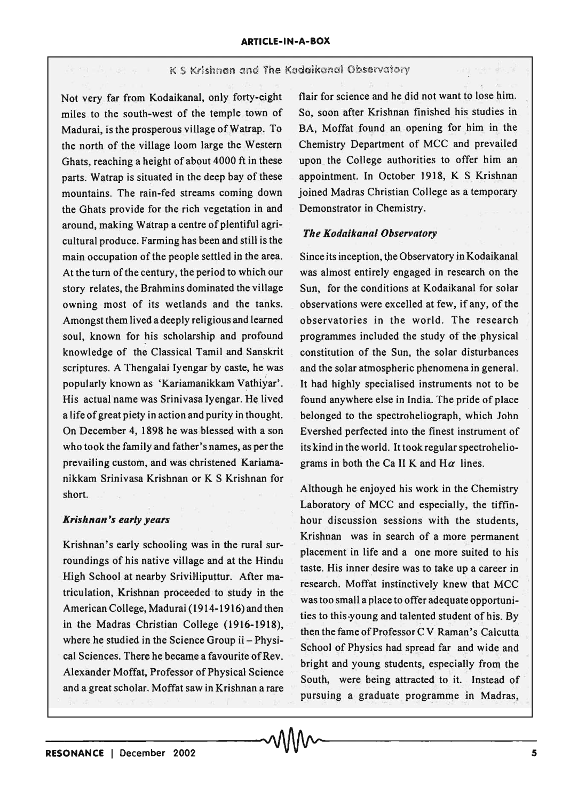## K S Krishnan and The Kadaikanal Observatory

Not very far from Kodaikanal, only forty-eight miles to the south-west of the temple town of Madurai, is the prosperous village of Watrap. To the north of the village loom large the Western Ghats, reaching a height of about 4000 ft in these parts. Watrap is situated in the deep bay of these mountains. The rain-fed streams coming down the Ghats provide for the rich vegetation in and around, making Watrap a centre of plentiful agricultural produce. Farming has been and still is the main occupation of the people settled in the area. At the turn of the century, the period to which our story relates, the Brahmins dominated the village owning most of its wetlands and the tanks. Amongst them Jived a deeply religious and learned soul, known for his scholarship and profound knowledge of the Classical Tamil and Sanskrit scriptures. A Thengalai Iyengar by caste, he was popularly known as 'Kariamanikkam Vathiyar'. His actual name was Srinivasa Iyengar. He lived a life of great piety in action and purity in thought. On December 4, 1898 he was blessed with a son who took the family and father's names, as per the prevailing custom, and was christened Kariamanikkam Srinivasa Krishnan or K S Krishnan for short.

## *Krishnan's early years*

Krishnan's early schooling was in the rural surroundings of his native village and at the Hindu High School at nearby SriviHiputtur. After matriculation, Krishnan proceeded to study in the American College, Madurai (1914-1916) and then in the Madras Christian College (1916-1918), where he studied in the Science Group ii - Physical Sciences. There he became a favourite of Rev. Alexander Moffat, Professor of Physical Science and a great scholar. Moffat saw in Krishnan a rare

flair for science and he did not want to lose him. So, soon after Krishnan finished his studies in BA, Moffat found an opening for him in the Chemistry Department of MCC and prevailed upon the College authorities to offer him an appointment. In October 1918, K S Krishnan joined Madras Christian College as a temporary Demonstrator in Chemistry.

## *The Kodaikanal Observatory*

Since its inception, the Observatory in Kodaikanal was almost entirely engaged in research on the Sun, for the conditions at Kodaikanal for solar observations were excelled at few, if any, of the observatories in the world. The research programmes included the study of the physical constitution of the Sun, the solar disturbances and the solar atmospheric phenomena in general. It had highly specialised instruments not to be found anywhere else in India. The pride of place belonged to the spectroheliograph, which John Evershed perfected into the finest instrument of its kind in the world. It took regular spectroheliograms in both the Ca II K and  $H\alpha$  lines.

Although he enjoyed his work in the Chemistry Laboratory of MCC and especially, the tiffinhour discussion sessions with the students, Krishnan was in search of a more permanent placement in life and a one more suited to his taste. His inner desire was to take up a career in research. Moffat instinctively knew that MCC was too small a place to offer adequate opportunities to this·young and talented student of his. By then the fame of Professor C V Raman's Calcutta School of Physics had spread far and wide and bright and young students, especially from the South, were being attracted to it. Instead of pursuing a graduate programme in Madras,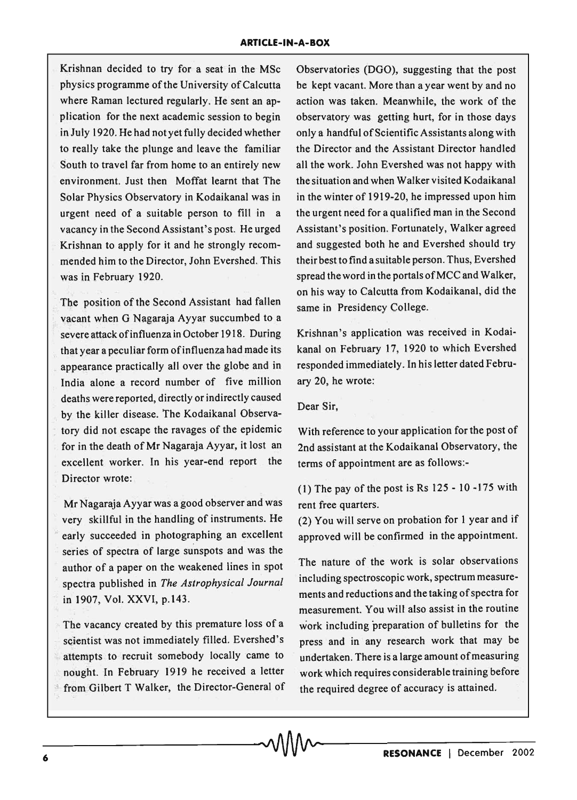Krishnan decided to try for a seat in the MSc physics programme of the University of Calcutta where Raman lectured regularly. He sent an application for the next academic session to begin inJuly 1920. He had not yet fully decided whether to really take the plunge and leave the familiar South to travel far from home to an entirely new environment. Just then Moffat learnt that The Solar Physics Observatory in Kodaikanal was in urgent need of a suitable person to fill in a vacancy in the Second Assistant's post. He urged Krishnan to apply for it and he strongly recommended him to the Director, John Evershed. This was in February 1920.

The position of the Second Assistant had fallen vacant when G Nagaraja Ayyar succumbed to a severe attack of influenza in October 1918. During that year a peculiar form ofinfluenza had made its appearance practically all over the globe and in India alone a record number of five million deaths were reported, directly or indirectly caused by the killer disease. The Kodaikanal Observa- . tory did not escape the ravages of the epidemic for in the death of Mr Nagaraja Ayyar, it lost an excellent worker. In his year-end report the Director wrote:

Mr Nagaraja Ayyar was a good observer and was very skillful in the handling of instruments. He early succeeded in photographing an excellent series of spectra of large sunspots and was the author of a paper on the weakened lines in spot , spectra published in *The Astrophysical Journal*  in 1907, Vol. XXVI, p.143 .

The vacancy created by this premature loss of a scientist was not immediately filled. Evershed's attempts to recruit somebody locally came to nought. In February 1919 he received a letter from Gilbert T Walker, the Director-General of Observatories (DGO), suggesting that the post be kept vacant. More than a year went by and no action was taken. Meanwhile, the work of the observatory was getting hurt, for in those days only a handful of Scientific Assistants along with the Director and the Assistant Director handled all the WOrk. John Evershed was not happy with the situation and when Walker visited Kodaikanal in the winter of 1919-20, he impressed upon him the urgent need for a qualified man in the Second Assistant's position. Fortunately, Walker agreed and suggested both he and Evershed should try their bestto find asuitable person. Thus, Evershed spread the word in the portals of MCC and Walker, on his way to Calcutta from Kodaikanal, did the same in Presidency College.

Krishnan's application was received in Kodaikanal on February 17, 1920 to which Evershed responded immediately. In his letter dated February 20, he wrote:

## Dear Sir,

With reference to your application for the post of 2nd assistant at the Kodaikanal Observatory, the terms of appointment are as follows:-

(1) The pay of the post is Rs 125 - 10 -175 with rent free quarters.

(2) You will serve on probation for 1 year and if approved will be confirmed in the appointment.

The nature of the work is solar observations including spectroscopic work, spectrum measurements and reductions and the taking of spectra for measurement. You will also assist in the routine work including preparation of bulletins for the press and in any research work that may be undertaken. There is a large amount of measuring work which requires considerable training before the required degree of accuracy is attained.